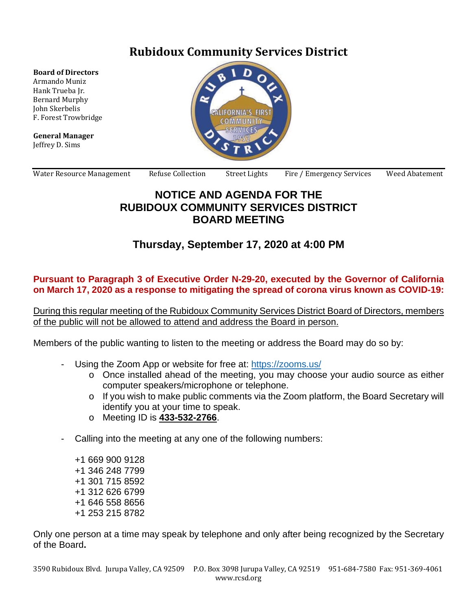# **Rubidoux Community Services District**

**Board of Directors**

Armando Muniz Hank Trueba Jr. Bernard Murphy John Skerbelis F. Forest Trowbridge

**General Manager** Jeffrey D. Sims



Water Resource Management Refuse Collection Street Lights Fire / Emergency Services Weed Abatement

### **NOTICE AND AGENDA FOR THE RUBIDOUX COMMUNITY SERVICES DISTRICT BOARD MEETING**

# **Thursday, September 17, 2020 at 4:00 PM**

#### **Pursuant to Paragraph 3 of Executive Order N-29-20, executed by the Governor of California on March 17, 2020 as a response to mitigating the spread of corona virus known as COVID-19:**

During this regular meeting of the Rubidoux Community Services District Board of Directors, members of the public will not be allowed to attend and address the Board in person.

Members of the public wanting to listen to the meeting or address the Board may do so by:

- Using the Zoom App or website for free at:<https://zooms.us/>
	- o Once installed ahead of the meeting, you may choose your audio source as either computer speakers/microphone or telephone.
	- o If you wish to make public comments via the Zoom platform, the Board Secretary will identify you at your time to speak.
	- o Meeting ID is **433-532-2766**.
- Calling into the meeting at any one of the following numbers:
	- +1 669 900 9128 +1 346 248 7799 +1 301 715 8592 +1 312 626 6799 +1 646 558 8656 +1 253 215 8782

Only one person at a time may speak by telephone and only after being recognized by the Secretary of the Board**.**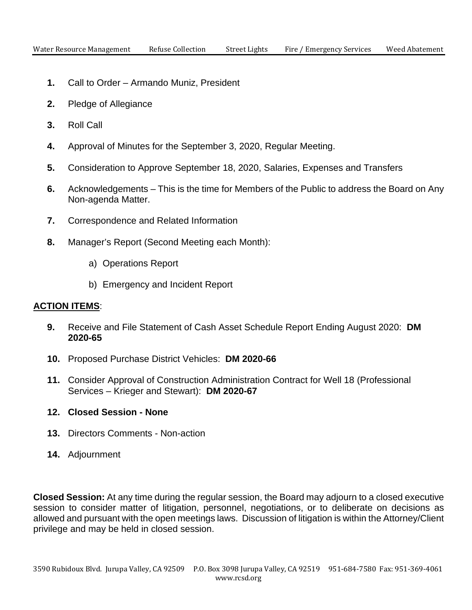- **1.** Call to Order Armando Muniz, President
- **2.** Pledge of Allegiance
- **3.** Roll Call
- **4.** Approval of Minutes for the September 3, 2020, Regular Meeting.
- **5.** Consideration to Approve September 18, 2020, Salaries, Expenses and Transfers
- **6.** Acknowledgements This is the time for Members of the Public to address the Board on Any Non-agenda Matter.
- **7.** Correspondence and Related Information
- **8.** Manager's Report (Second Meeting each Month):
	- a) Operations Report
	- b) Emergency and Incident Report

#### **ACTION ITEMS**:

- **9.** Receive and File Statement of Cash Asset Schedule Report Ending August 2020: **DM 2020-65**
- **10.** Proposed Purchase District Vehicles: **DM 2020-66**
- **11.** Consider Approval of Construction Administration Contract for Well 18 (Professional Services – Krieger and Stewart): **DM 2020-67**

### **12. Closed Session - None**

- **13.** Directors Comments Non-action
- **14.** Adjournment

**Closed Session:** At any time during the regular session, the Board may adjourn to a closed executive session to consider matter of litigation, personnel, negotiations, or to deliberate on decisions as allowed and pursuant with the open meetings laws. Discussion of litigation is within the Attorney/Client privilege and may be held in closed session.